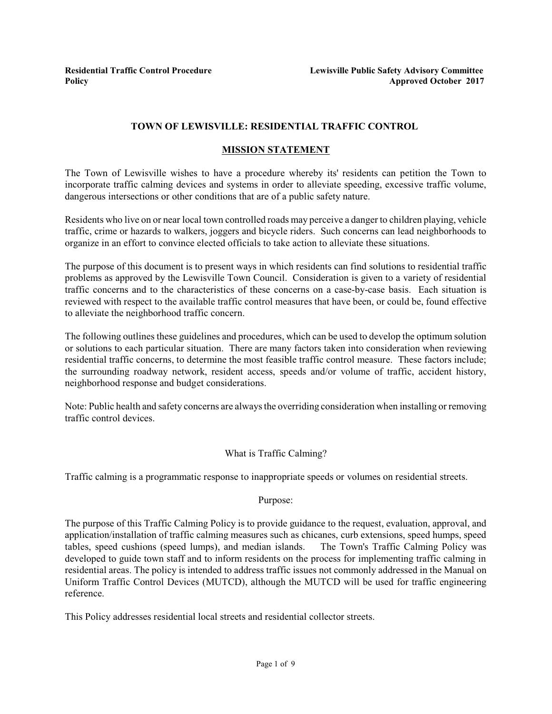# **TOWN OF LEWISVILLE: RESIDENTIAL TRAFFIC CONTROL**

# **MISSION STATEMENT**

The Town of Lewisville wishes to have a procedure whereby its' residents can petition the Town to incorporate traffic calming devices and systems in order to alleviate speeding, excessive traffic volume, dangerous intersections or other conditions that are of a public safety nature.

Residents who live on or near local town controlled roads may perceive a danger to children playing, vehicle traffic, crime or hazards to walkers, joggers and bicycle riders. Such concerns can lead neighborhoods to organize in an effort to convince elected officials to take action to alleviate these situations.

The purpose of this document is to present ways in which residents can find solutions to residential traffic problems as approved by the Lewisville Town Council. Consideration is given to a variety of residential traffic concerns and to the characteristics of these concerns on a case-by-case basis. Each situation is reviewed with respect to the available traffic control measures that have been, or could be, found effective to alleviate the neighborhood traffic concern.

The following outlines these guidelines and procedures, which can be used to develop the optimum solution or solutions to each particular situation. There are many factors taken into consideration when reviewing residential traffic concerns, to determine the most feasible traffic control measure. These factors include; the surrounding roadway network, resident access, speeds and/or volume of traffic, accident history, neighborhood response and budget considerations.

Note: Public health and safety concerns are always the overriding consideration when installing or removing traffic control devices.

# What is Traffic Calming?

Traffic calming is a programmatic response to inappropriate speeds or volumes on residential streets.

#### Purpose:

The purpose of this Traffic Calming Policy is to provide guidance to the request, evaluation, approval, and application/installation of traffic calming measures such as chicanes, curb extensions, speed humps, speed tables, speed cushions (speed lumps), and median islands. The Town's Traffic Calming Policy was developed to guide town staff and to inform residents on the process for implementing traffic calming in residential areas. The policy is intended to address traffic issues not commonly addressed in the Manual on Uniform Traffic Control Devices (MUTCD), although the MUTCD will be used for traffic engineering reference.

This Policy addresses residential local streets and residential collector streets.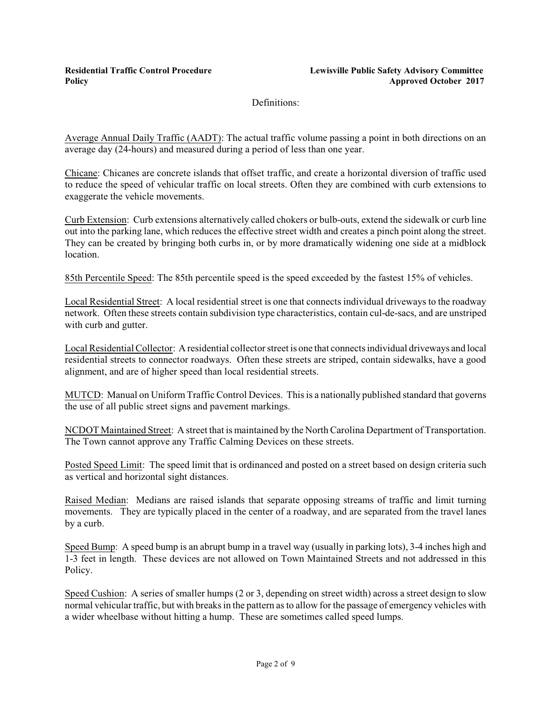Definitions:

Average Annual Daily Traffic (AADT): The actual traffic volume passing a point in both directions on an average day (24-hours) and measured during a period of less than one year.

Chicane: Chicanes are concrete islands that offset traffic, and create a horizontal diversion of traffic used to reduce the speed of vehicular traffic on local streets. Often they are combined with curb extensions to exaggerate the vehicle movements.

Curb Extension: Curb extensions alternatively called chokers or bulb-outs, extend the sidewalk or curb line out into the parking lane, which reduces the effective street width and creates a pinch point along the street. They can be created by bringing both curbs in, or by more dramatically widening one side at a midblock location.

85th Percentile Speed: The 85th percentile speed is the speed exceeded by the fastest 15% of vehicles.

Local Residential Street: A local residential street is one that connects individual driveways to the roadway network. Often these streets contain subdivision type characteristics, contain cul-de-sacs, and are unstriped with curb and gutter.

Local ResidentialCollector: A residential collectorstreet is one that connects individual driveways and local residential streets to connector roadways. Often these streets are striped, contain sidewalks, have a good alignment, and are of higher speed than local residential streets.

MUTCD: Manual on Uniform Traffic Control Devices. This is a nationally published standard that governs the use of all public street signs and pavement markings.

NCDOT Maintained Street: A street that is maintained by the North Carolina Department of Transportation. The Town cannot approve any Traffic Calming Devices on these streets.

Posted Speed Limit: The speed limit that is ordinanced and posted on a street based on design criteria such as vertical and horizontal sight distances.

Raised Median: Medians are raised islands that separate opposing streams of traffic and limit turning movements. They are typically placed in the center of a roadway, and are separated from the travel lanes by a curb.

Speed Bump: A speed bump is an abrupt bump in a travel way (usually in parking lots), 3-4 inches high and 1-3 feet in length. These devices are not allowed on Town Maintained Streets and not addressed in this Policy.

Speed Cushion: A series of smaller humps (2 or 3, depending on street width) across a street design to slow normal vehicular traffic, but with breaks in the pattern as to allow for the passage of emergency vehicles with a wider wheelbase without hitting a hump. These are sometimes called speed lumps.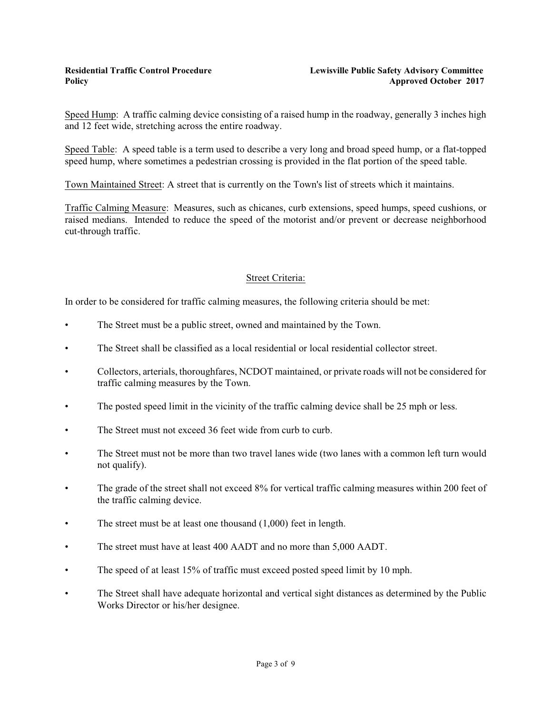Speed Hump: A traffic calming device consisting of a raised hump in the roadway, generally 3 inches high and 12 feet wide, stretching across the entire roadway.

Speed Table: A speed table is a term used to describe a very long and broad speed hump, or a flat-topped speed hump, where sometimes a pedestrian crossing is provided in the flat portion of the speed table.

Town Maintained Street: A street that is currently on the Town's list of streets which it maintains.

Traffic Calming Measure: Measures, such as chicanes, curb extensions, speed humps, speed cushions, or raised medians. Intended to reduce the speed of the motorist and/or prevent or decrease neighborhood cut-through traffic.

# Street Criteria:

In order to be considered for traffic calming measures, the following criteria should be met:

- The Street must be a public street, owned and maintained by the Town.
- The Street shall be classified as a local residential or local residential collector street.
- Collectors, arterials, thoroughfares, NCDOT maintained, or private roads will not be considered for traffic calming measures by the Town.
- The posted speed limit in the vicinity of the traffic calming device shall be 25 mph or less.
- The Street must not exceed 36 feet wide from curb to curb.
- The Street must not be more than two travel lanes wide (two lanes with a common left turn would not qualify).
- The grade of the street shall not exceed 8% for vertical traffic calming measures within 200 feet of the traffic calming device.
- The street must be at least one thousand  $(1,000)$  feet in length.
- The street must have at least 400 AADT and no more than 5,000 AADT.
- The speed of at least 15% of traffic must exceed posted speed limit by 10 mph.
- The Street shall have adequate horizontal and vertical sight distances as determined by the Public Works Director or his/her designee.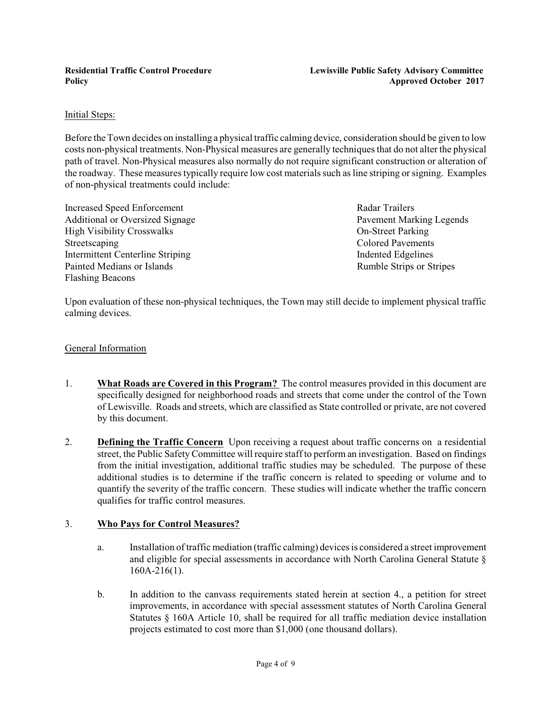### Initial Steps:

Before the Town decides on installing a physical traffic calming device, consideration should be given to low costs non-physical treatments. Non-Physical measures are generally techniques that do not alter the physical path of travel. Non-Physical measures also normally do not require significant construction or alteration of the roadway. These measures typically require low cost materials such as line striping orsigning. Examples of non-physical treatments could include:

Increased Speed Enforcement Radar Trailers Additional or Oversized Signage Pavement Marking Legends High Visibility Crosswalks On-Street Parking Streetscaping Colored Pavements Intermittent Centerline Striping Indented Edgelines Painted Medians or Islands **Rumble Strips or Stripes** Rumble Strips or Stripes Flashing Beacons

Upon evaluation of these non-physical techniques, the Town may still decide to implement physical traffic calming devices.

### General Information

- 1. **What Roads are Covered in this Program?** The control measures provided in this document are specifically designed for neighborhood roads and streets that come under the control of the Town of Lewisville. Roads and streets, which are classified as State controlled or private, are not covered by this document.
- 2. **Defining the Traffic Concern** Upon receiving a request about traffic concerns on a residential street, the Public SafetyCommittee will require staff to perform an investigation. Based on findings from the initial investigation, additional traffic studies may be scheduled. The purpose of these additional studies is to determine if the traffic concern is related to speeding or volume and to quantify the severity of the traffic concern. These studies will indicate whether the traffic concern qualifies for traffic control measures.

# 3. **Who Pays for Control Measures?**

- a. Installation of traffic mediation (traffic calming) devices is considered a street improvement and eligible for special assessments in accordance with North Carolina General Statute § 160A-216(1).
- b. In addition to the canvass requirements stated herein at section 4., a petition for street improvements, in accordance with special assessment statutes of North Carolina General Statutes § 160A Article 10, shall be required for all traffic mediation device installation projects estimated to cost more than \$1,000 (one thousand dollars).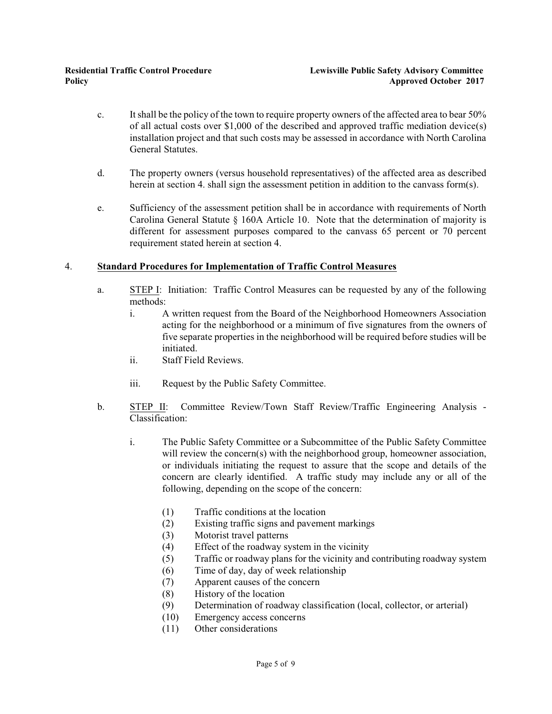- c. Itshall be the policy of the town to require property owners of the affected area to bear 50% of all actual costs over \$1,000 of the described and approved traffic mediation device(s) installation project and that such costs may be assessed in accordance with North Carolina General Statutes.
- d. The property owners (versus household representatives) of the affected area as described herein at section 4. shall sign the assessment petition in addition to the canvass form(s).
- e. Sufficiency of the assessment petition shall be in accordance with requirements of North Carolina General Statute  $\S$  160A Article 10. Note that the determination of majority is different for assessment purposes compared to the canvass 65 percent or 70 percent requirement stated herein at section 4.

### 4. **Standard Procedures for Implementation of Traffic Control Measures**

- a. STEP I: Initiation: Traffic Control Measures can be requested by any of the following methods:
	- i. A written request from the Board of the Neighborhood Homeowners Association acting for the neighborhood or a minimum of five signatures from the owners of five separate properties in the neighborhood will be required before studies will be initiated.
	- ii. Staff Field Reviews.
	- iii. Request by the Public Safety Committee.
- b. STEP II: Committee Review/Town Staff Review/Traffic Engineering Analysis Classification:
	- i. The Public Safety Committee or a Subcommittee of the Public Safety Committee will review the concern(s) with the neighborhood group, homeowner association, or individuals initiating the request to assure that the scope and details of the concern are clearly identified. A traffic study may include any or all of the following, depending on the scope of the concern:
		- (1) Traffic conditions at the location
		- (2) Existing traffic signs and pavement markings
		- (3) Motorist travel patterns
		- (4) Effect of the roadway system in the vicinity
		- (5) Traffic or roadway plans for the vicinity and contributing roadway system
		- (6) Time of day, day of week relationship
		- (7) Apparent causes of the concern
		- (8) History of the location
		- (9) Determination of roadway classification (local, collector, or arterial)
		- (10) Emergency access concerns
		- (11) Other considerations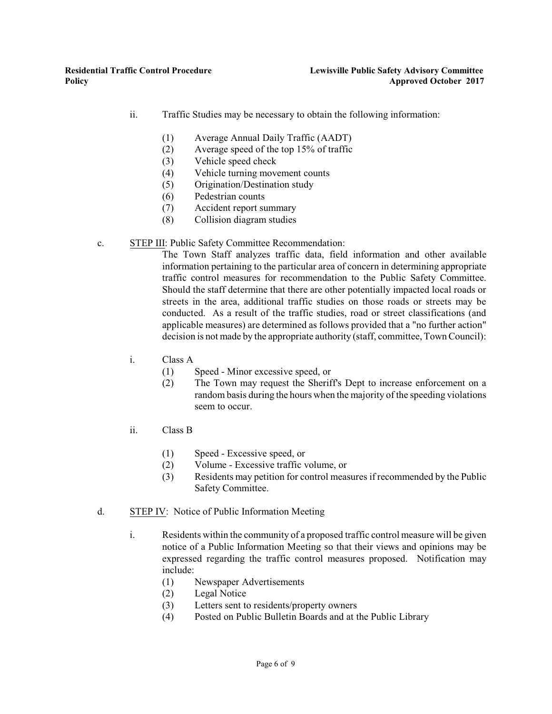- ii. Traffic Studies may be necessary to obtain the following information:
	- (1) Average Annual Daily Traffic (AADT)
	- (2) Average speed of the top 15% of traffic
	- (3) Vehicle speed check
	- (4) Vehicle turning movement counts
	- (5) Origination/Destination study
	- (6) Pedestrian counts
	- (7) Accident report summary
	- (8) Collision diagram studies

### c. STEP III: Public Safety Committee Recommendation:

The Town Staff analyzes traffic data, field information and other available information pertaining to the particular area of concern in determining appropriate traffic control measures for recommendation to the Public Safety Committee. Should the staff determine that there are other potentially impacted local roads or streets in the area, additional traffic studies on those roads or streets may be conducted. As a result of the traffic studies, road or street classifications (and applicable measures) are determined as follows provided that a "no further action" decision is not made by the appropriate authority (staff, committee, Town Council):

- i. Class A
	- (1) Speed Minor excessive speed, or
	- (2) The Town may request the Sheriff's Dept to increase enforcement on a random basis during the hours when the majority of the speeding violations seem to occur.
- ii. Class B
	- (1) Speed Excessive speed, or
	- (2) Volume Excessive traffic volume, or
	- (3) Residents may petition for control measures if recommended by the Public Safety Committee.
- d. STEP IV: Notice of Public Information Meeting
	- i. Residents within the community of a proposed traffic control measure will be given notice of a Public Information Meeting so that their views and opinions may be expressed regarding the traffic control measures proposed. Notification may include:
		- (1) Newspaper Advertisements
		- (2) Legal Notice
		- (3) Letters sent to residents/property owners
		- (4) Posted on Public Bulletin Boards and at the Public Library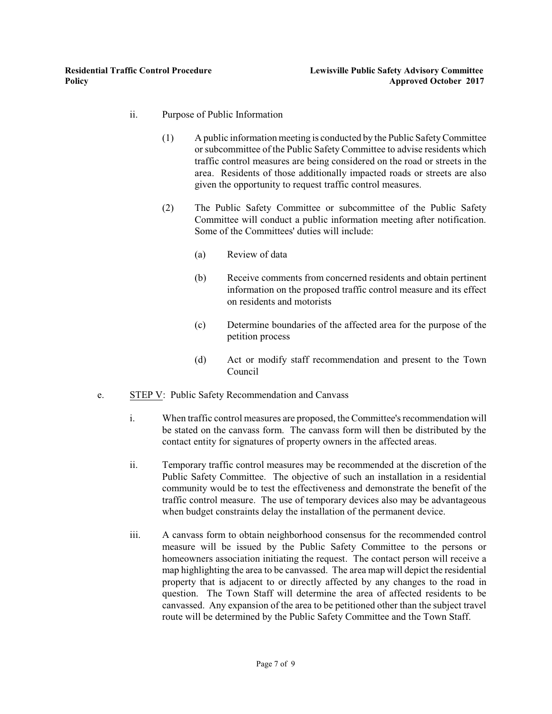- ii. Purpose of Public Information
	- (1) A public information meeting is conducted by the Public SafetyCommittee or subcommittee of the Public Safety Committee to advise residents which traffic control measures are being considered on the road or streets in the area. Residents of those additionally impacted roads or streets are also given the opportunity to request traffic control measures.
	- (2) The Public Safety Committee or subcommittee of the Public Safety Committee will conduct a public information meeting after notification. Some of the Committees' duties will include:
		- (a) Review of data
		- (b) Receive comments from concerned residents and obtain pertinent information on the proposed traffic control measure and its effect on residents and motorists
		- (c) Determine boundaries of the affected area for the purpose of the petition process
		- (d) Act or modify staff recommendation and present to the Town Council
- e. STEP V: Public Safety Recommendation and Canvass
	- i. When traffic control measures are proposed, the Committee's recommendation will be stated on the canvass form. The canvass form will then be distributed by the contact entity for signatures of property owners in the affected areas.
	- ii. Temporary traffic control measures may be recommended at the discretion of the Public Safety Committee. The objective of such an installation in a residential community would be to test the effectiveness and demonstrate the benefit of the traffic control measure. The use of temporary devices also may be advantageous when budget constraints delay the installation of the permanent device.
	- iii. A canvass form to obtain neighborhood consensus for the recommended control measure will be issued by the Public Safety Committee to the persons or homeowners association initiating the request. The contact person will receive a map highlighting the area to be canvassed. The area map will depict the residential property that is adjacent to or directly affected by any changes to the road in question. The Town Staff will determine the area of affected residents to be canvassed. Any expansion of the area to be petitioned other than the subject travel route will be determined by the Public Safety Committee and the Town Staff.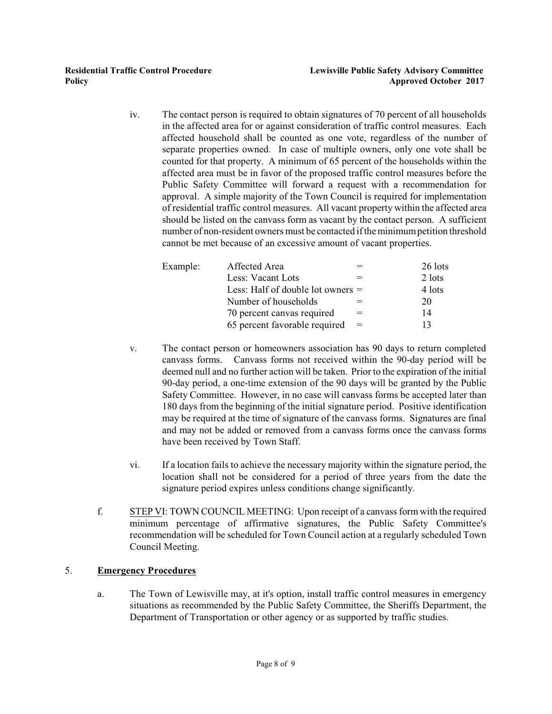iv. The contact person is required to obtain signatures of 70 percent of all households in the affected area for or against consideration of traffic control measures. Each affected household shall be counted as one vote, regardless of the number of separate properties owned. In case of multiple owners, only one vote shall be counted for that property. A minimum of 65 percent of the households within the affected area must be in favor of the proposed traffic control measures before the Public Safety Committee will forward a request with a recommendation for approval. A simple majority of the Town Council is required for implementation of residential traffic control measures. All vacant property within the affected area should be listed on the canvass form as vacant by the contact person. A sufficient number of non-resident owners must be contacted ifthe minimumpetition threshold cannot be met because of an excessive amount of vacant properties.

| Example: | Affected Area                       |     | 26 lots |
|----------|-------------------------------------|-----|---------|
|          | Less: Vacant Lots                   |     | 2 lots  |
|          | Less: Half of double lot owners $=$ |     | 4 lots  |
|          | Number of households                |     | 20      |
|          | 70 percent canvas required          | $=$ | 14      |
|          | 65 percent favorable required       | $=$ | 13      |

- v. The contact person or homeowners association has 90 days to return completed canvass forms. Canvass forms not received within the 90-day period will be deemed null and no further action will be taken. Prior to the expiration of the initial 90-day period, a one-time extension of the 90 days will be granted by the Public Safety Committee. However, in no case will canvass forms be accepted later than 180 days from the beginning of the initial signature period. Positive identification may be required at the time of signature of the canvass forms. Signatures are final and may not be added or removed from a canvass forms once the canvass forms have been received by Town Staff.
- vi. If a location fails to achieve the necessary majority within the signature period, the location shall not be considered for a period of three years from the date the signature period expires unless conditions change significantly.
- f. STEP VI: TOWN COUNCIL MEETING: Upon receipt of a canvass form with the required minimum percentage of affirmative signatures, the Public Safety Committee's recommendation will be scheduled for Town Council action at a regularly scheduled Town Council Meeting.

# 5. **Emergency Procedures**

a. The Town of Lewisville may, at it's option, install traffic control measures in emergency situations as recommended by the Public Safety Committee, the Sheriffs Department, the Department of Transportation or other agency or as supported by traffic studies.